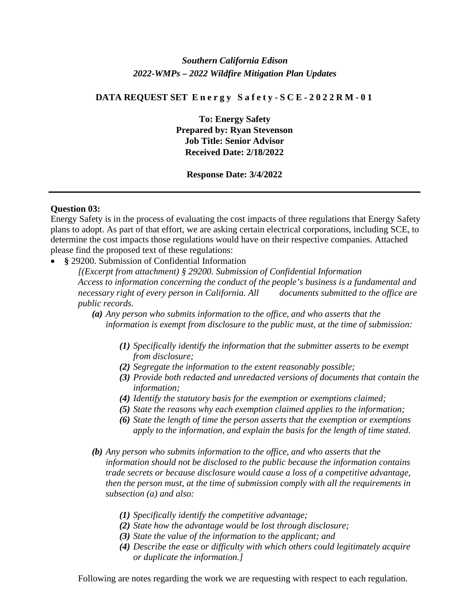# *Southern California Edison 2022-WMPs – 2022 Wildfire Mitigation Plan Updates*

#### **DATA REQUEST SET Energy Safety - SCE - 2022RM - 0 1**

**To: Energy Safety Prepared by: Ryan Stevenson Job Title: Senior Advisor Received Date: 2/18/2022**

# **Response Date: 3/4/2022**

### **Question 03:**

Energy Safety is in the process of evaluating the cost impacts of three regulations that Energy Safety plans to adopt. As part of that effort, we are asking certain electrical corporations, including SCE, to determine the cost impacts those regulations would have on their respective companies. Attached please find the proposed text of these regulations:

• **§** 29200. Submission of Confidential Information

*[(Excerpt from attachment) § 29200. Submission of Confidential Information Access to information concerning the conduct of the people's business is a fundamental and necessary right of every person in California. All documents submitted to the office are public records.* 

- *(a) Any person who submits information to the office, and who asserts that the information is exempt from disclosure to the public must, at the time of submission:* 
	- *(1) Specifically identify the information that the submitter asserts to be exempt from disclosure;*
	- *(2) Segregate the information to the extent reasonably possible;*
	- *(3) Provide both redacted and unredacted versions of documents that contain the information;*
	- *(4) Identify the statutory basis for the exemption or exemptions claimed;*
	- *(5) State the reasons why each exemption claimed applies to the information;*
	- *(6) State the length of time the person asserts that the exemption or exemptions apply to the information, and explain the basis for the length of time stated.*
- *(b) Any person who submits information to the office, and who asserts that the information should not be disclosed to the public because the information contains trade secrets or because disclosure would cause a loss of a competitive advantage, then the person must, at the time of submission comply with all the requirements in subsection (a) and also:*
	- *(1) Specifically identify the competitive advantage;*
	- *(2) State how the advantage would be lost through disclosure;*
	- *(3) State the value of the information to the applicant; and*
	- *(4) Describe the ease or difficulty with which others could legitimately acquire or duplicate the information.]*

Following are notes regarding the work we are requesting with respect to each regulation.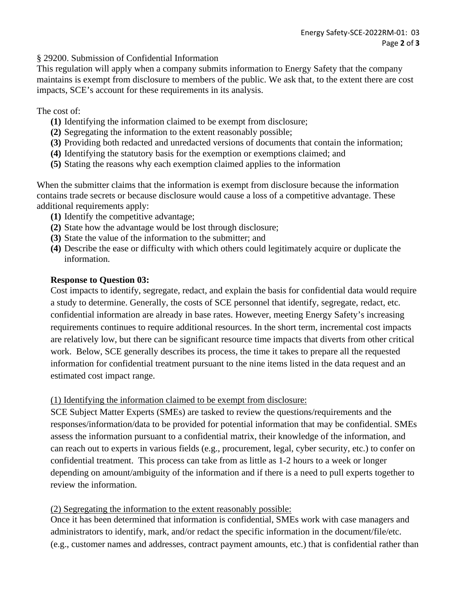§ 29200. Submission of Confidential Information

This regulation will apply when a company submits information to Energy Safety that the company maintains is exempt from disclosure to members of the public. We ask that, to the extent there are cost impacts, SCE's account for these requirements in its analysis.

# The cost of:

- **(1)** Identifying the information claimed to be exempt from disclosure;
- **(2)** Segregating the information to the extent reasonably possible;
- **(3)** Providing both redacted and unredacted versions of documents that contain the information;
- **(4)** Identifying the statutory basis for the exemption or exemptions claimed; and
- **(5)** Stating the reasons why each exemption claimed applies to the information

When the submitter claims that the information is exempt from disclosure because the information contains trade secrets or because disclosure would cause a loss of a competitive advantage. These additional requirements apply:

- **(1)** Identify the competitive advantage;
- **(2)** State how the advantage would be lost through disclosure;
- **(3)** State the value of the information to the submitter; and
- **(4)** Describe the ease or difficulty with which others could legitimately acquire or duplicate the information.

# **Response to Question 03:**

Cost impacts to identify, segregate, redact, and explain the basis for confidential data would require a study to determine. Generally, the costs of SCE personnel that identify, segregate, redact, etc. confidential information are already in base rates. However, meeting Energy Safety's increasing requirements continues to require additional resources. In the short term, incremental cost impacts are relatively low, but there can be significant resource time impacts that diverts from other critical work. Below, SCE generally describes its process, the time it takes to prepare all the requested information for confidential treatment pursuant to the nine items listed in the data request and an estimated cost impact range.

# (1) Identifying the information claimed to be exempt from disclosure:

SCE Subject Matter Experts (SMEs) are tasked to review the questions/requirements and the responses/information/data to be provided for potential information that may be confidential. SMEs assess the information pursuant to a confidential matrix, their knowledge of the information, and can reach out to experts in various fields (e.g., procurement, legal, cyber security, etc.) to confer on confidential treatment. This process can take from as little as 1-2 hours to a week or longer depending on amount/ambiguity of the information and if there is a need to pull experts together to review the information.

# (2) Segregating the information to the extent reasonably possible:

Once it has been determined that information is confidential, SMEs work with case managers and administrators to identify, mark, and/or redact the specific information in the document/file/etc. (e.g., customer names and addresses, contract payment amounts, etc.) that is confidential rather than